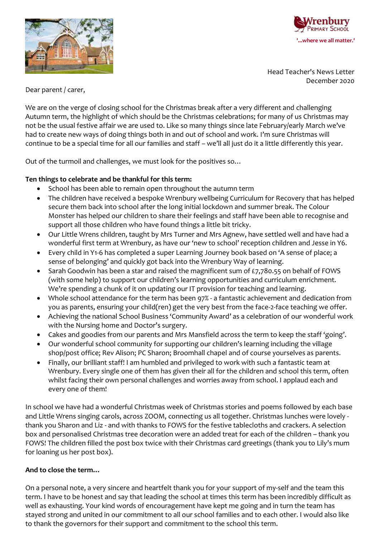



Head Teacher's News Letter December 2020

Dear parent / carer,

We are on the verge of closing school for the Christmas break after a very different and challenging Autumn term, the highlight of which should be the Christmas celebrations; for many of us Christmas may not be the usual festive affair we are used to. Like so many things since late February/early March we've had to create new ways of doing things both in and out of school and work. I'm sure Christmas will continue to be a special time for all our families and staff – we'll all just do it a little differently this year.

Out of the turmoil and challenges, we must look for the positives so…

## **Ten things to celebrate and be thankful for this term:**

- School has been able to remain open throughout the autumn term
- The children have received a bespoke Wrenbury wellbeing Curriculum for Recovery that has helped secure them back into school after the long initial lockdown and summer break. The Colour Monster has helped our children to share their feelings and staff have been able to recognise and support all those children who have found things a little bit tricky.
- Our Little Wrens children, taught by Mrs Turner and Mrs Agnew, have settled well and have had a wonderful first term at Wrenbury, as have our 'new to school' reception children and Jesse in Y6.
- Every child in Y1-6 has completed a super Learning Journey book based on 'A sense of place; a sense of belonging' and quickly got back into the Wrenbury Way of learning.
- $\bullet$  Sarah Goodwin has been a star and raised the magnificent sum of £7,780.55 on behalf of FOWS (with some help) to support our children's learning opportunities and curriculum enrichment. We're spending a chunk of it on updating our IT provision for teaching and learning.
- Whole school attendance for the term has been 97% a fantastic achievement and dedication from you as parents, ensuring your child(ren) get the very best from the face-2-face teaching we offer.
- Achieving the national School Business 'Community Award' as a celebration of our wonderful work with the Nursing home and Doctor's surgery.
- Cakes and goodies from our parents and Mrs Mansfield across the term to keep the staff 'going'.
- Our wonderful school community for supporting our children's learning including the village shop/post office; Rev Alison; PC Sharon; Broomhall chapel and of course yourselves as parents.
- Finally, our brilliant staff! I am humbled and privileged to work with such a fantastic team at Wrenbury. Every single one of them has given their all for the children and school this term, often whilst facing their own personal challenges and worries away from school. I applaud each and every one of them!

In school we have had a wonderful Christmas week of Christmas stories and poems followed by each base and Little Wrens singing carols, across ZOOM, connecting us all together. Christmas lunches were lovely thank you Sharon and Liz - and with thanks to FOWS for the festive tablecloths and crackers. A selection box and personalised Christmas tree decoration were an added treat for each of the children – thank you FOWS! The children filled the post box twice with their Christmas card greetings (thank you to Lily's mum for loaning us her post box).

## **And to close the term…**

On a personal note, a very sincere and heartfelt thank you for your support of my-self and the team this term. I have to be honest and say that leading the school at times this term has been incredibly difficult as well as exhausting. Your kind words of encouragement have kept me going and in turn the team has stayed strong and united in our commitment to all our school families and to each other. I would also like to thank the governors for their support and commitment to the school this term.